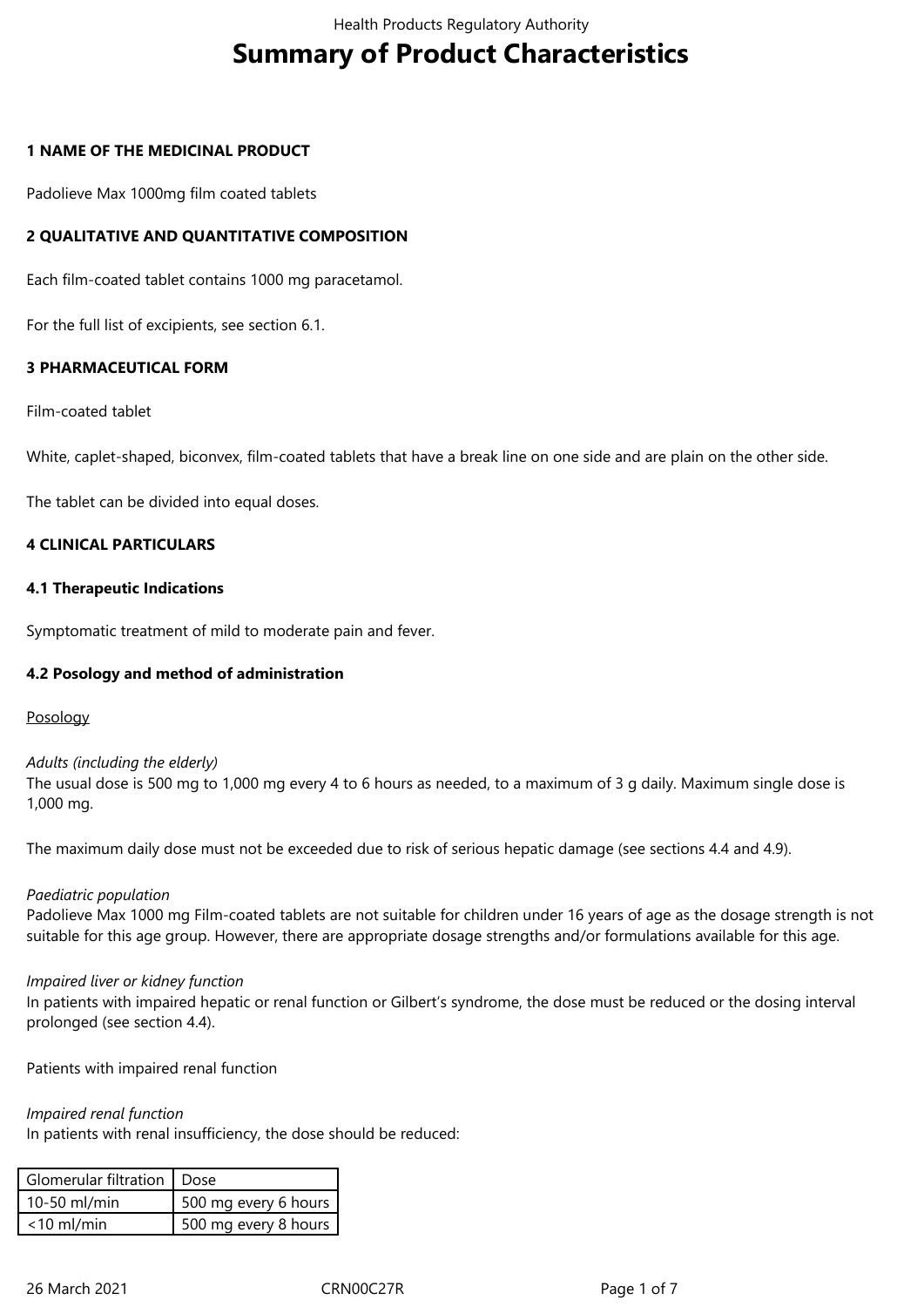# **Summary of Product Characteristics**

#### **1 NAME OF THE MEDICINAL PRODUCT**

Padolieve Max 1000mg film coated tablets

## **2 QUALITATIVE AND QUANTITATIVE COMPOSITION**

Each film-coated tablet contains 1000 mg paracetamol.

For the full list of excipients, see section 6.1.

## **3 PHARMACEUTICAL FORM**

Film-coated tablet

White, caplet-shaped, biconvex, film-coated tablets that have a break line on one side and are plain on the other side.

The tablet can be divided into equal doses.

#### **4 CLINICAL PARTICULARS**

#### **4.1 Therapeutic Indications**

Symptomatic treatment of mild to moderate pain and fever.

#### **4.2 Posology and method of administration**

Posology

*Adults (including the elderly)* The usual dose is 500 mg to 1,000 mg every 4 to 6 hours as needed, to a maximum of 3 g daily. Maximum single dose is 1,000 mg.

The maximum daily dose must not be exceeded due to risk of serious hepatic damage (see sections 4.4 and 4.9).

#### *Paediatric population*

Padolieve Max 1000 mg Film-coated tablets are not suitable for children under 16 years of age as the dosage strength is not suitable for this age group. However, there are appropriate dosage strengths and/or formulations available for this age.

#### *Impaired liver or kidney function*

In patients with impaired hepatic or renal function or Gilbert's syndrome, the dose must be reduced or the dosing interval prolonged (see section 4.4).

Patients with impaired renal function

*Impaired renal function* 

In patients with renal insufficiency, the dose should be reduced:

| Glomerular filtration   Dose |                      |
|------------------------------|----------------------|
| 10-50 ml/min                 | 500 mg every 6 hours |
| $<$ 10 ml/min                | 500 mg every 8 hours |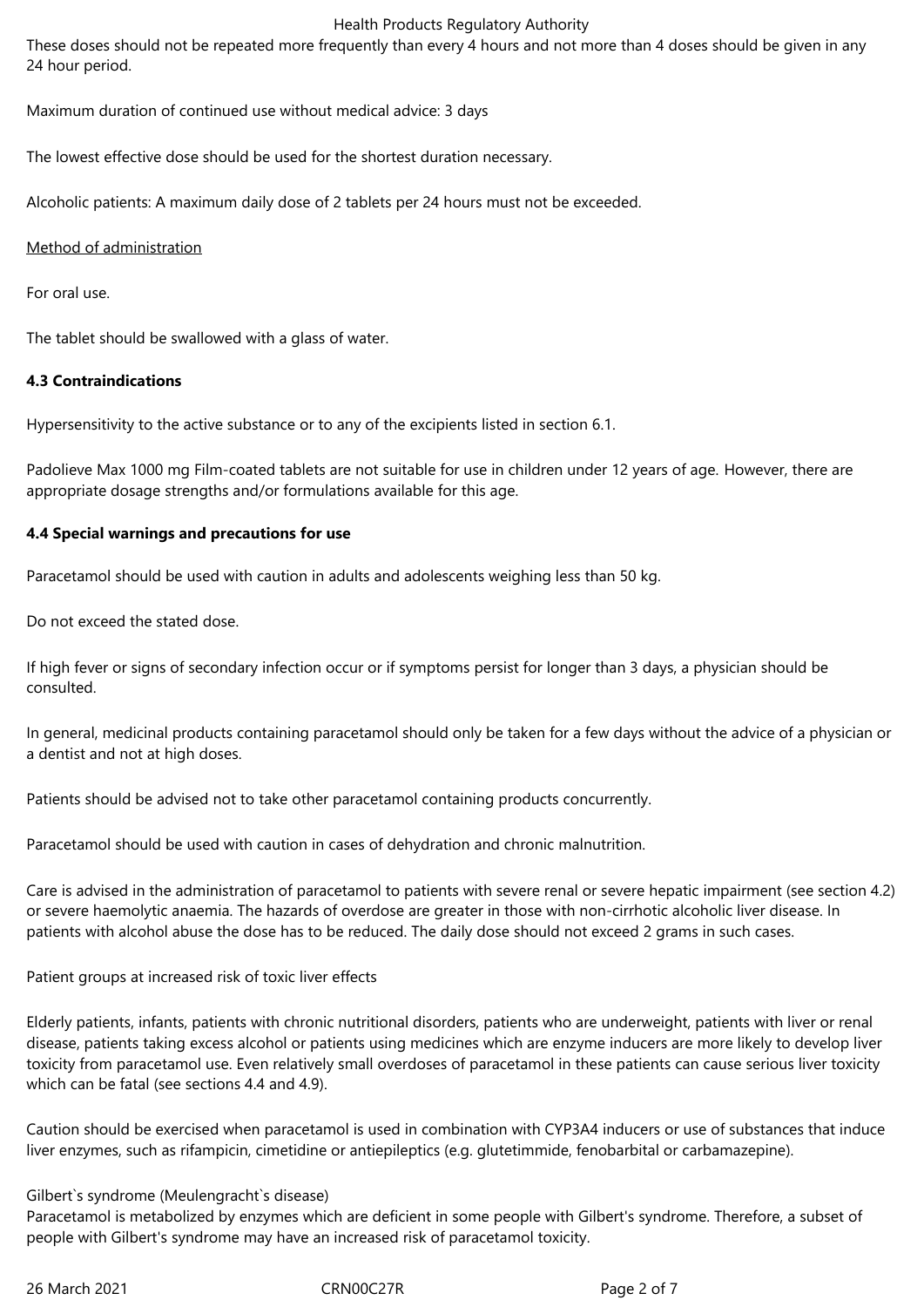#### Health Products Regulatory Authority

These doses should not be repeated more frequently than every 4 hours and not more than 4 doses should be given in any 24 hour period.

Maximum duration of continued use without medical advice: 3 days

The lowest effective dose should be used for the shortest duration necessary.

Alcoholic patients: A maximum daily dose of 2 tablets per 24 hours must not be exceeded.

Method of administration

For oral use.

The tablet should be swallowed with a glass of water.

## **4.3 Contraindications**

Hypersensitivity to the active substance or to any of the excipients listed in section 6.1.

Padolieve Max 1000 mg Film-coated tablets are not suitable for use in children under 12 years of age. However, there are appropriate dosage strengths and/or formulations available for this age.

## **4.4 Special warnings and precautions for use**

Paracetamol should be used with caution in adults and adolescents weighing less than 50 kg.

Do not exceed the stated dose.

If high fever or signs of secondary infection occur or if symptoms persist for longer than 3 days, a physician should be consulted.

In general, medicinal products containing paracetamol should only be taken for a few days without the advice of a physician or a dentist and not at high doses.

Patients should be advised not to take other paracetamol containing products concurrently.

Paracetamol should be used with caution in cases of dehydration and chronic malnutrition.

Care is advised in the administration of paracetamol to patients with severe renal or severe hepatic impairment (see section 4.2) or severe haemolytic anaemia. The hazards of overdose are greater in those with non-cirrhotic alcoholic liver disease. In patients with alcohol abuse the dose has to be reduced. The daily dose should not exceed 2 grams in such cases.

Patient groups at increased risk of toxic liver effects

Elderly patients, infants, patients with chronic nutritional disorders, patients who are underweight, patients with liver or renal disease, patients taking excess alcohol or patients using medicines which are enzyme inducers are more likely to develop liver toxicity from paracetamol use. Even relatively small overdoses of paracetamol in these patients can cause serious liver toxicity which can be fatal (see sections 4.4 and 4.9).

Caution should be exercised when paracetamol is used in combination with CYP3A4 inducers or use of substances that induce liver enzymes, such as rifampicin, cimetidine or antiepileptics (e.g. glutetimmide, fenobarbital or carbamazepine).

### Gilbert`s syndrome (Meulengracht`s disease)

Paracetamol is metabolized by enzymes which are deficient in some people with Gilbert's syndrome. Therefore, a subset of people with Gilbert's syndrome may have an increased risk of paracetamol toxicity.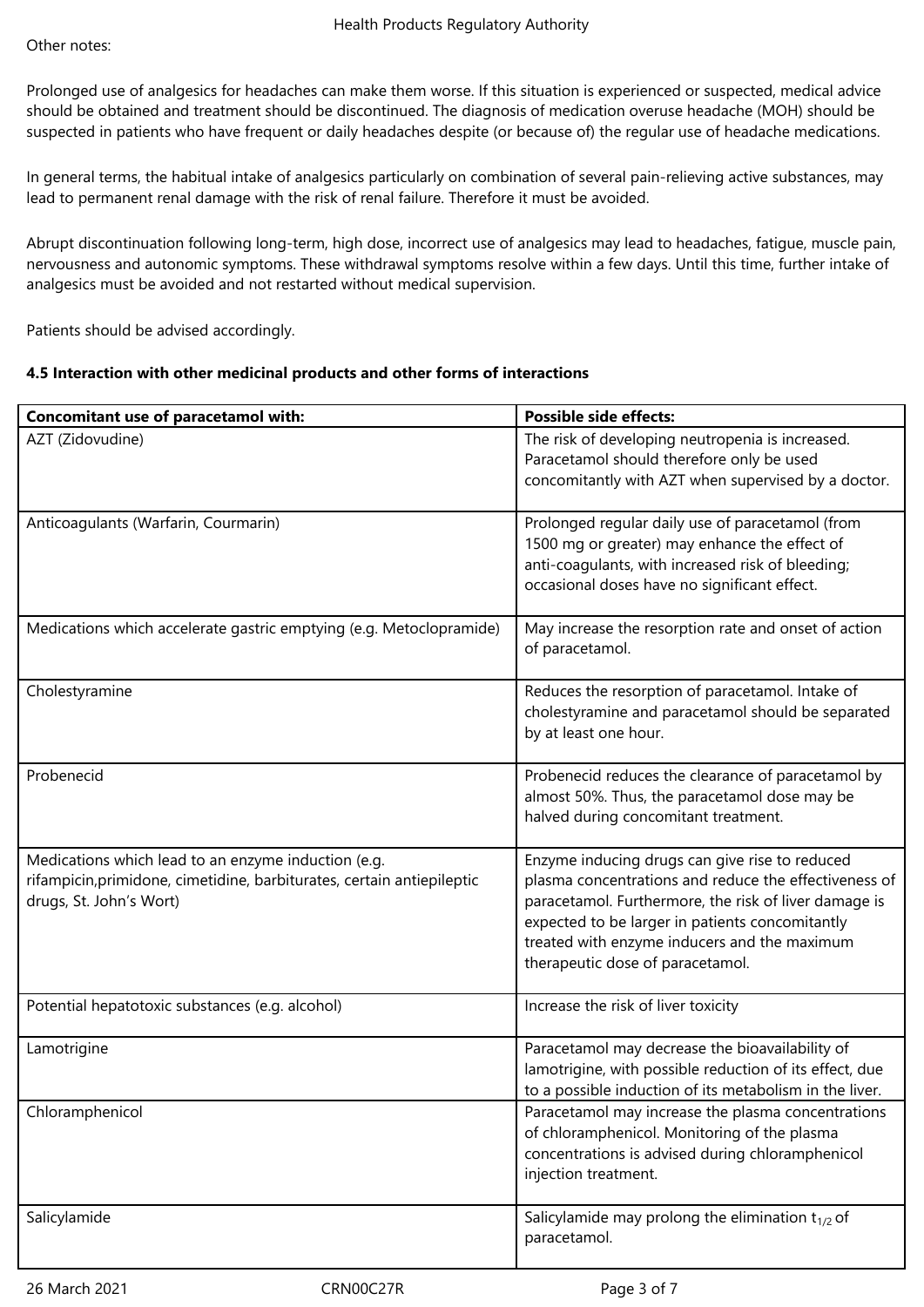Prolonged use of analgesics for headaches can make them worse. If this situation is experienced or suspected, medical advice should be obtained and treatment should be discontinued. The diagnosis of medication overuse headache (MOH) should be suspected in patients who have frequent or daily headaches despite (or because of) the regular use of headache medications.

In general terms, the habitual intake of analgesics particularly on combination of several pain-relieving active substances, may lead to permanent renal damage with the risk of renal failure. Therefore it must be avoided.

Abrupt discontinuation following long-term, high dose, incorrect use of analgesics may lead to headaches, fatigue, muscle pain, nervousness and autonomic symptoms. These withdrawal symptoms resolve within a few days. Until this time, further intake of analgesics must be avoided and not restarted without medical supervision.

Patients should be advised accordingly.

## **4.5 Interaction with other medicinal products and other forms of interactions**

| Concomitant use of paracetamol with:                                                                                                                     | <b>Possible side effects:</b>                                                                                                                                                                                                                                                                           |
|----------------------------------------------------------------------------------------------------------------------------------------------------------|---------------------------------------------------------------------------------------------------------------------------------------------------------------------------------------------------------------------------------------------------------------------------------------------------------|
| AZT (Zidovudine)                                                                                                                                         | The risk of developing neutropenia is increased.<br>Paracetamol should therefore only be used<br>concomitantly with AZT when supervised by a doctor.                                                                                                                                                    |
| Anticoagulants (Warfarin, Courmarin)                                                                                                                     | Prolonged regular daily use of paracetamol (from<br>1500 mg or greater) may enhance the effect of<br>anti-coagulants, with increased risk of bleeding;<br>occasional doses have no significant effect.                                                                                                  |
| Medications which accelerate gastric emptying (e.g. Metoclopramide)                                                                                      | May increase the resorption rate and onset of action<br>of paracetamol.                                                                                                                                                                                                                                 |
| Cholestyramine                                                                                                                                           | Reduces the resorption of paracetamol. Intake of<br>cholestyramine and paracetamol should be separated<br>by at least one hour.                                                                                                                                                                         |
| Probenecid                                                                                                                                               | Probenecid reduces the clearance of paracetamol by<br>almost 50%. Thus, the paracetamol dose may be<br>halved during concomitant treatment.                                                                                                                                                             |
| Medications which lead to an enzyme induction (e.g.<br>rifampicin, primidone, cimetidine, barbiturates, certain antiepileptic<br>drugs, St. John's Wort) | Enzyme inducing drugs can give rise to reduced<br>plasma concentrations and reduce the effectiveness of<br>paracetamol. Furthermore, the risk of liver damage is<br>expected to be larger in patients concomitantly<br>treated with enzyme inducers and the maximum<br>therapeutic dose of paracetamol. |
| Potential hepatotoxic substances (e.g. alcohol)                                                                                                          | Increase the risk of liver toxicity                                                                                                                                                                                                                                                                     |
| Lamotrigine                                                                                                                                              | Paracetamol may decrease the bioavailability of<br>lamotrigine, with possible reduction of its effect, due<br>to a possible induction of its metabolism in the liver.                                                                                                                                   |
| Chloramphenicol                                                                                                                                          | Paracetamol may increase the plasma concentrations<br>of chloramphenicol. Monitoring of the plasma<br>concentrations is advised during chloramphenicol<br>injection treatment.                                                                                                                          |
| Salicylamide                                                                                                                                             | Salicylamide may prolong the elimination $t_{1/2}$ of<br>paracetamol.                                                                                                                                                                                                                                   |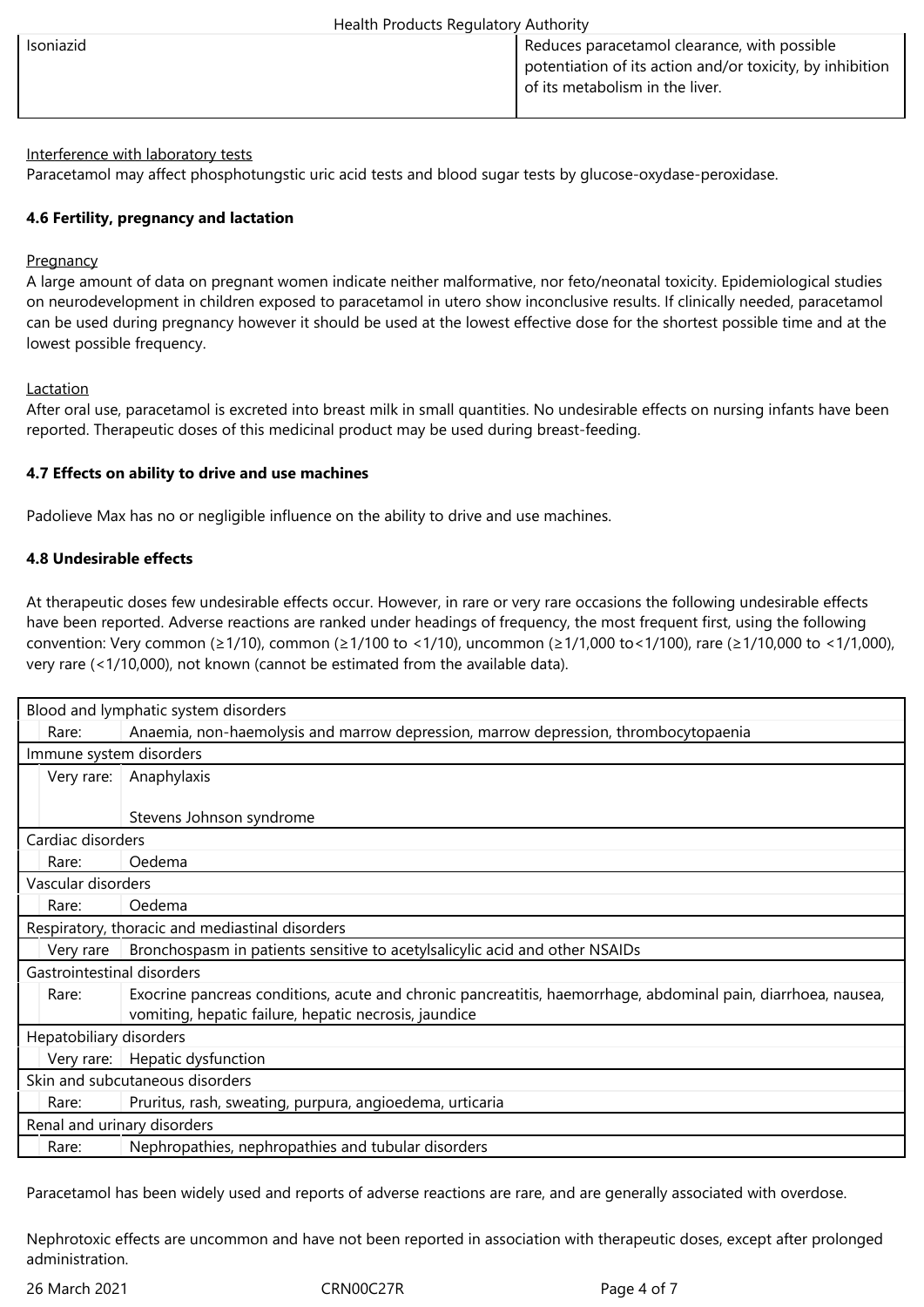| Health Products Regulatory Authority |                                                                                                                                              |  |
|--------------------------------------|----------------------------------------------------------------------------------------------------------------------------------------------|--|
| <b>Isoniazid</b>                     | Reduces paracetamol clearance, with possible<br>potentiation of its action and/or toxicity, by inhibition<br>of its metabolism in the liver. |  |

## Interference with laboratory tests

Paracetamol may affect phosphotungstic uric acid tests and blood sugar tests by glucose-oxydase-peroxidase.

## **4.6 Fertility, pregnancy and lactation**

#### **Pregnancy**

A large amount of data on pregnant women indicate neither malformative, nor feto/neonatal toxicity. Epidemiological studies on neurodevelopment in children exposed to paracetamol in utero show inconclusive results. If clinically needed, paracetamol can be used during pregnancy however it should be used at the lowest effective dose for the shortest possible time and at the lowest possible frequency.

#### Lactation

After oral use, paracetamol is excreted into breast milk in small quantities. No undesirable effects on nursing infants have been reported. Therapeutic doses of this medicinal product may be used during breast-feeding.

## **4.7 Effects on ability to drive and use machines**

Padolieve Max has no or negligible influence on the ability to drive and use machines.

## **4.8 Undesirable effects**

At therapeutic doses few undesirable effects occur. However, in rare or very rare occasions the following undesirable effects have been reported. Adverse reactions are ranked under headings of frequency, the most frequent first, using the following convention: Very common (≥1/10), common (≥1/100 to <1/10), uncommon (≥1/1,000 to<1/100), rare (≥1/10,000 to <1/1,000), very rare (<1/10,000), not known (cannot be estimated from the available data).

| Blood and lymphatic system disorders            |                                                                                                               |  |
|-------------------------------------------------|---------------------------------------------------------------------------------------------------------------|--|
| Rare:                                           | Anaemia, non-haemolysis and marrow depression, marrow depression, thrombocytopaenia                           |  |
| Immune system disorders                         |                                                                                                               |  |
| Very rare:                                      | Anaphylaxis                                                                                                   |  |
|                                                 |                                                                                                               |  |
|                                                 | Stevens Johnson syndrome                                                                                      |  |
| Cardiac disorders                               |                                                                                                               |  |
| Rare:                                           | Oedema                                                                                                        |  |
| Vascular disorders                              |                                                                                                               |  |
| Rare:                                           | Oedema                                                                                                        |  |
| Respiratory, thoracic and mediastinal disorders |                                                                                                               |  |
| Very rare                                       | Bronchospasm in patients sensitive to acetylsalicylic acid and other NSAIDs                                   |  |
| Gastrointestinal disorders                      |                                                                                                               |  |
| Rare:                                           | Exocrine pancreas conditions, acute and chronic pancreatitis, haemorrhage, abdominal pain, diarrhoea, nausea, |  |
|                                                 | vomiting, hepatic failure, hepatic necrosis, jaundice                                                         |  |
| Hepatobiliary disorders                         |                                                                                                               |  |
|                                                 | Very rare:   Hepatic dysfunction                                                                              |  |
| Skin and subcutaneous disorders                 |                                                                                                               |  |
| Rare:                                           | Pruritus, rash, sweating, purpura, angioedema, urticaria                                                      |  |
| Renal and urinary disorders                     |                                                                                                               |  |
| Rare:                                           | Nephropathies, nephropathies and tubular disorders                                                            |  |

Paracetamol has been widely used and reports of adverse reactions are rare, and are generally associated with overdose.

Nephrotoxic effects are uncommon and have not been reported in association with therapeutic doses, except after prolonged administration.

26 March 2021 CRN00C27R Page 4 of 7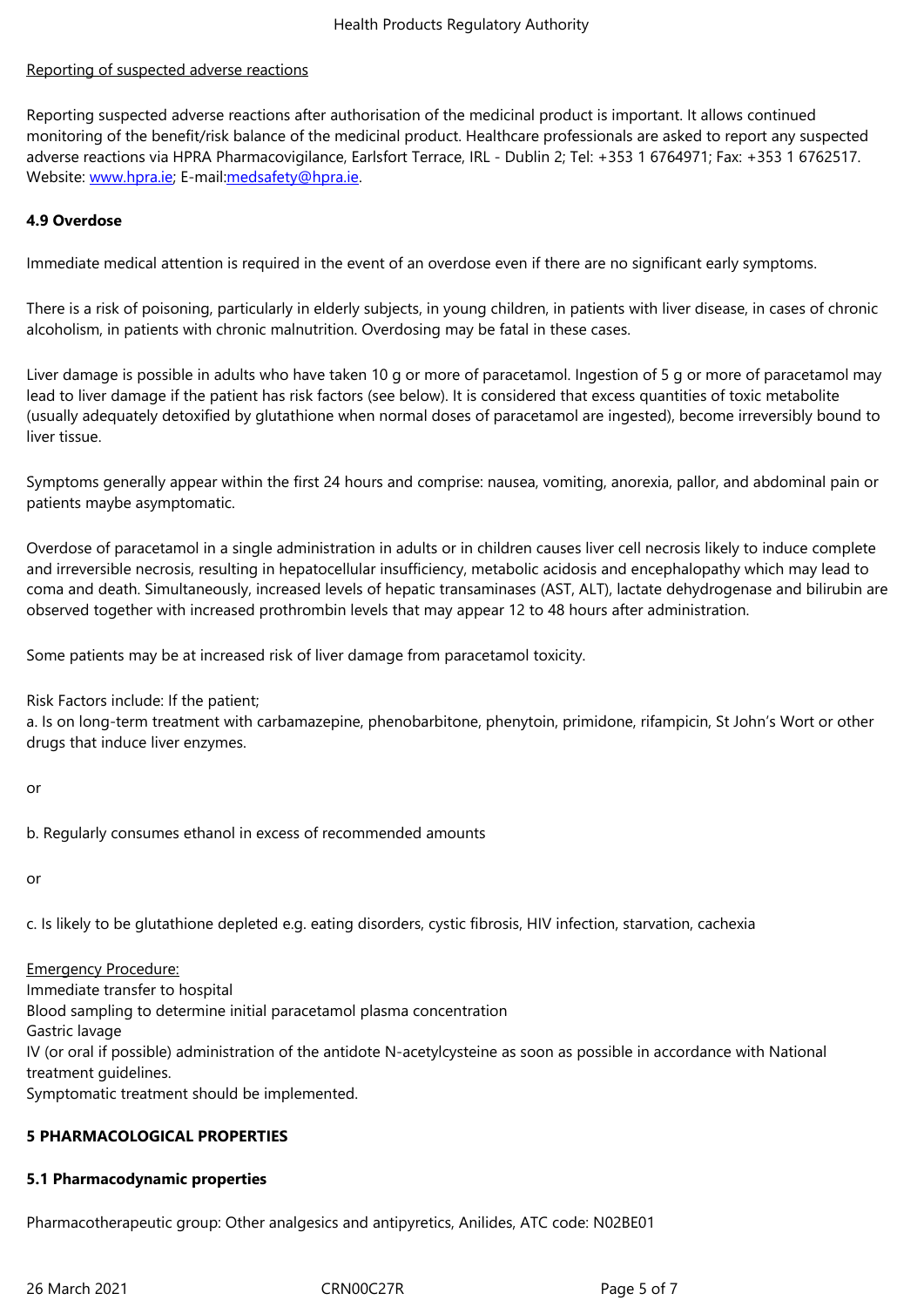## Reporting of suspected adverse reactions

Reporting suspected adverse reactions after authorisation of the medicinal product is important. It allows continued monitoring of the benefit/risk balance of the medicinal product. Healthcare professionals are asked to report any suspected adverse reactions via HPRA Pharmacovigilance, Earlsfort Terrace, IRL - Dublin 2; Tel: +353 1 6764971; Fax: +353 1 6762517. Website: www.hpra.ie; E-mail:medsafety@hpra.ie.

## **4.9 Overdose**

Immediate medical attention is required in the event of an overdose even if there are no significant early symptoms.

There is a risk of poisoning, particularly in elderly subjects, in young children, in patients with liver disease, in cases of chronic alcoholism, in patients with chronic malnutrition. Overdosing may be fatal in these cases.

Liver damage is possible in adults who have taken 10 g or more of paracetamol. Ingestion of 5 g or more of paracetamol may lead to liver damage if the patient has risk factors (see below). It is considered that excess quantities of toxic metabolite (usually adequately detoxified by glutathione when normal doses of paracetamol are ingested), become irreversibly bound to liver tissue.

Symptoms generally appear within the first 24 hours and comprise: nausea, vomiting, anorexia, pallor, and abdominal pain or patients maybe asymptomatic.

Overdose of paracetamol in a single administration in adults or in children causes liver cell necrosis likely to induce complete and irreversible necrosis, resulting in hepatocellular insufficiency, metabolic acidosis and encephalopathy which may lead to coma and death. Simultaneously, increased levels of hepatic transaminases (AST, ALT), lactate dehydrogenase and bilirubin are observed together with increased prothrombin levels that may appear 12 to 48 hours after administration.

Some patients may be at increased risk of liver damage from paracetamol toxicity.

Risk Factors include: If the patient;

a. Is on long-term treatment with carbamazepine, phenobarbitone, phenytoin, primidone, rifampicin, St John's Wort or other drugs that induce liver enzymes.

or

b. Regularly consumes ethanol in excess of recommended amounts

or

c. Is likely to be glutathione depleted e.g. eating disorders, cystic fibrosis, HIV infection, starvation, cachexia

#### Emergency Procedure:

Immediate transfer to hospital Blood sampling to determine initial paracetamol plasma concentration Gastric lavage IV (or oral if possible) administration of the antidote N-acetylcysteine as soon as possible in accordance with National treatment guidelines. Symptomatic treatment should be implemented.

#### **5 PHARMACOLOGICAL PROPERTIES**

#### **5.1 Pharmacodynamic properties**

Pharmacotherapeutic group: Other analgesics and antipyretics, Anilides, ATC code: N02BE01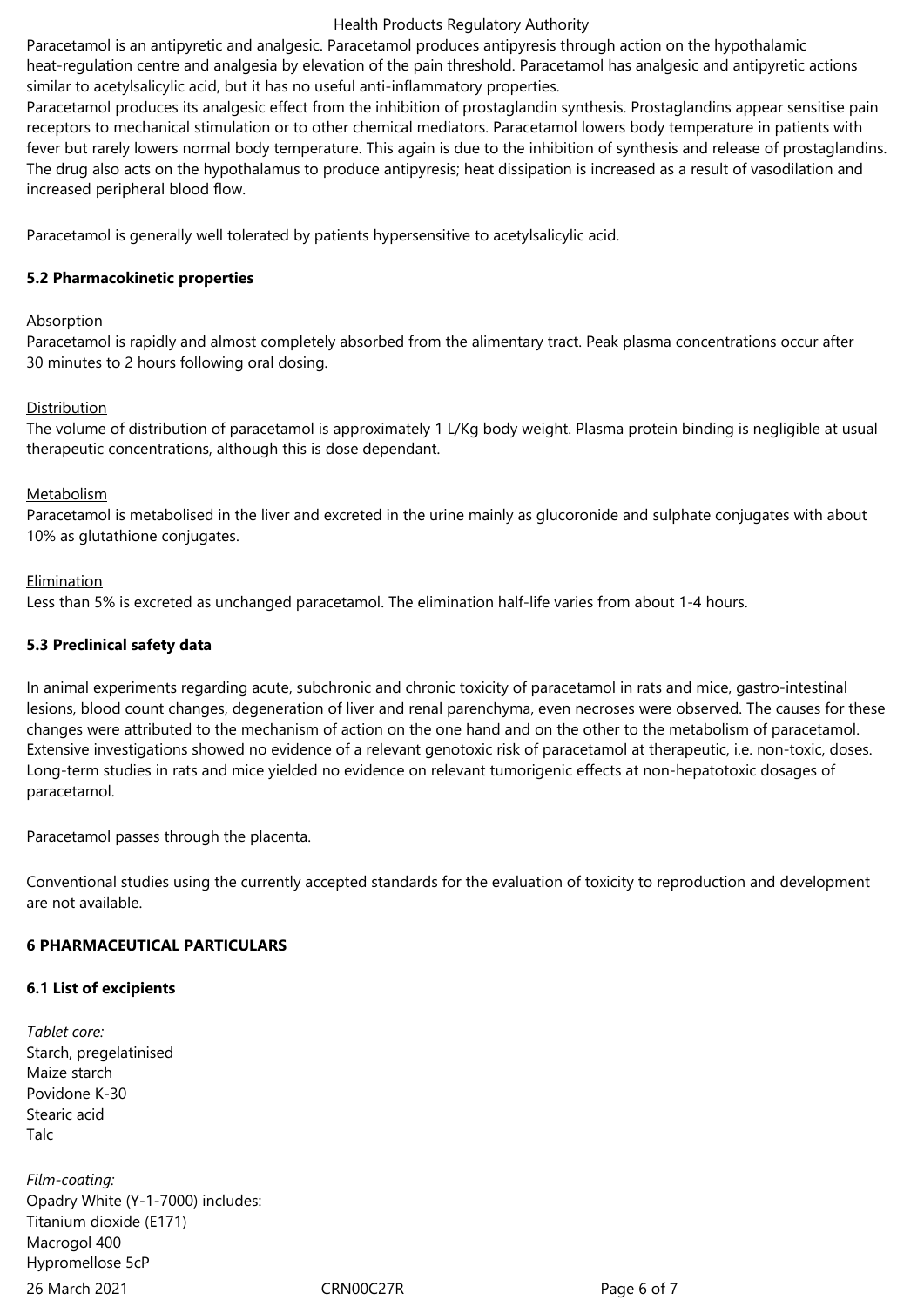#### Health Products Regulatory Authority

Paracetamol is an antipyretic and analgesic. Paracetamol produces antipyresis through action on the hypothalamic heat-regulation centre and analgesia by elevation of the pain threshold. Paracetamol has analgesic and antipyretic actions similar to acetylsalicylic acid, but it has no useful anti-inflammatory properties.

Paracetamol produces its analgesic effect from the inhibition of prostaglandin synthesis. Prostaglandins appear sensitise pain receptors to mechanical stimulation or to other chemical mediators. Paracetamol lowers body temperature in patients with fever but rarely lowers normal body temperature. This again is due to the inhibition of synthesis and release of prostaglandins. The drug also acts on the hypothalamus to produce antipyresis; heat dissipation is increased as a result of vasodilation and increased peripheral blood flow.

Paracetamol is generally well tolerated by patients hypersensitive to acetylsalicylic acid.

## **5.2 Pharmacokinetic properties**

## Absorption

Paracetamol is rapidly and almost completely absorbed from the alimentary tract. Peak plasma concentrations occur after 30 minutes to 2 hours following oral dosing.

## Distribution

The volume of distribution of paracetamol is approximately 1 L/Kg body weight. Plasma protein binding is negligible at usual therapeutic concentrations, although this is dose dependant.

#### Metabolism

Paracetamol is metabolised in the liver and excreted in the urine mainly as glucoronide and sulphate conjugates with about 10% as glutathione conjugates.

## **Elimination**

Less than 5% is excreted as unchanged paracetamol. The elimination half-life varies from about 1-4 hours.

## **5.3 Preclinical safety data**

In animal experiments regarding acute, subchronic and chronic toxicity of paracetamol in rats and mice, gastro-intestinal lesions, blood count changes, degeneration of liver and renal parenchyma, even necroses were observed. The causes for these changes were attributed to the mechanism of action on the one hand and on the other to the metabolism of paracetamol. Extensive investigations showed no evidence of a relevant genotoxic risk of paracetamol at therapeutic, i.e. non-toxic, doses. Long-term studies in rats and mice yielded no evidence on relevant tumorigenic effects at non-hepatotoxic dosages of paracetamol.

Paracetamol passes through the placenta.

Conventional studies using the currently accepted standards for the evaluation of toxicity to reproduction and development are not available.

#### **6 PHARMACEUTICAL PARTICULARS**

#### **6.1 List of excipients**

*Tablet core:* Starch, pregelatinised Maize starch Povidone K-30 Stearic acid **Talc** 

26 March 2021 CRN00C27R Page 6 of 7 *Film-coating:* Opadry White (Y‑1‑7000) includes: Titanium dioxide (E171) Macrogol 400 Hypromellose 5cP